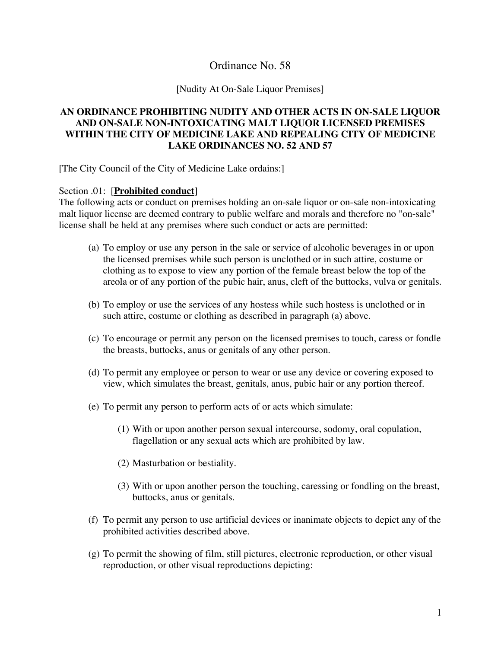# Ordinance No. 58

#### [Nudity At On-Sale Liquor Premises]

## **AN ORDINANCE PROHIBITING NUDITY AND OTHER ACTS IN ON-SALE LIQUOR AND ON-SALE NON-INTOXICATING MALT LIQUOR LICENSED PREMISES WITHIN THE CITY OF MEDICINE LAKE AND REPEALING CITY OF MEDICINE LAKE ORDINANCES NO. 52 AND 57**

[The City Council of the City of Medicine Lake ordains:]

## Section .01: [**Prohibited conduct**]

The following acts or conduct on premises holding an on-sale liquor or on-sale non-intoxicating malt liquor license are deemed contrary to public welfare and morals and therefore no "on-sale" license shall be held at any premises where such conduct or acts are permitted:

- (a) To employ or use any person in the sale or service of alcoholic beverages in or upon the licensed premises while such person is unclothed or in such attire, costume or clothing as to expose to view any portion of the female breast below the top of the areola or of any portion of the pubic hair, anus, cleft of the buttocks, vulva or genitals.
- (b) To employ or use the services of any hostess while such hostess is unclothed or in such attire, costume or clothing as described in paragraph (a) above.
- (c) To encourage or permit any person on the licensed premises to touch, caress or fondle the breasts, buttocks, anus or genitals of any other person.
- (d) To permit any employee or person to wear or use any device or covering exposed to view, which simulates the breast, genitals, anus, pubic hair or any portion thereof.
- (e) To permit any person to perform acts of or acts which simulate:
	- (1) With or upon another person sexual intercourse, sodomy, oral copulation, flagellation or any sexual acts which are prohibited by law.
	- (2) Masturbation or bestiality.
	- (3) With or upon another person the touching, caressing or fondling on the breast, buttocks, anus or genitals.
- (f) To permit any person to use artificial devices or inanimate objects to depict any of the prohibited activities described above.
- (g) To permit the showing of film, still pictures, electronic reproduction, or other visual reproduction, or other visual reproductions depicting: